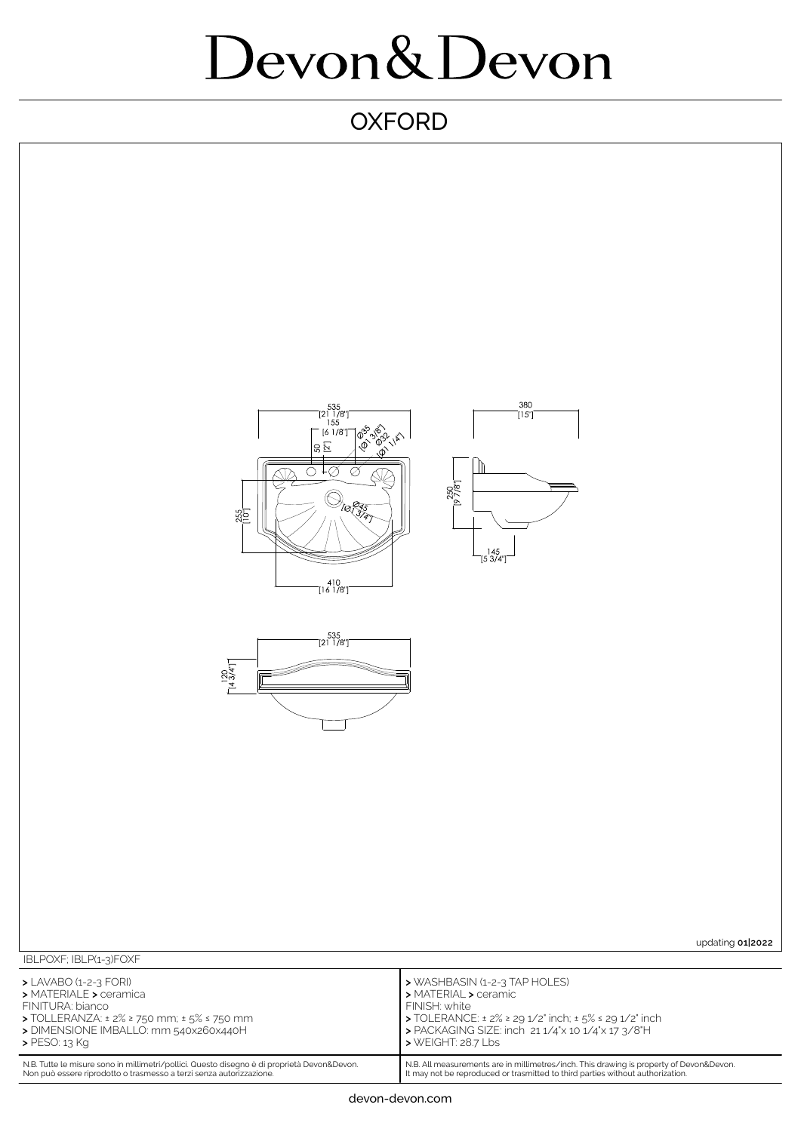## Devon&Devon

## **OXFORD**